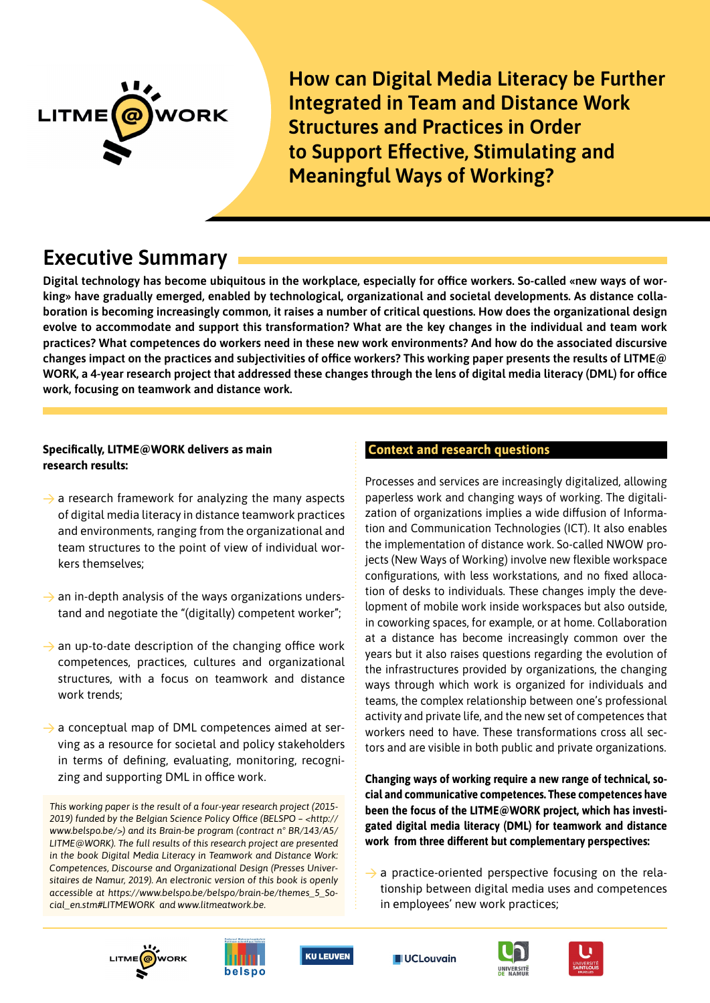

# **Executive Summary**

**Digital technology has become ubiquitous in the workplace, especially for office workers. So-called «new ways of working» have gradually emerged, enabled by technological, organizational and societal developments. As distance collaboration is becoming increasingly common, it raises a number of critical questions. How does the organizational design evolve to accommodate and support this transformation? What are the key changes in the individual and team work practices? What competences do workers need in these new work environments? And how do the associated discursive changes impact on the practices and subjectivities of office workers? This working paper presents the results of LITME@ WORK, a 4-year research project that addressed these changes through the lens of digital media literacy (DML) for office work, focusing on teamwork and distance work.** 

## **Specifically, LITME@WORK delivers as main research results:**

- $\rightarrow$  a research framework for analyzing the many aspects of digital media literacy in distance teamwork practices and environments, ranging from the organizational and team structures to the point of view of individual workers themselves;
- $\rightarrow$  an in-depth analysis of the ways organizations understand and negotiate the "(digitally) competent worker";
- $\rightarrow$  an up-to-date description of the changing office work competences, practices, cultures and organizational structures, with a focus on teamwork and distance work trends;
- $\rightarrow$  a conceptual map of DML competences aimed at serving as a resource for societal and policy stakeholders in terms of defining, evaluating, monitoring, recognizing and supporting DML in office work.

*This working paper is the result of a four-year research project (2015- 2019) funded by the Belgian Science Policy Office (BELSPO – <http:// www.belspo.be/>) and its Brain-be program (contract n° BR/143/A5/ LITME@WORK). The full results of this research project are presented in the book Digital Media Literacy in Teamwork and Distance Work: Competences, Discourse and Organizational Design (Presses Universitaires de Namur, 2019). An electronic version of this book is openly accessible at https://www.belspo.be/belspo/brain-be/themes\_5\_Social\_en.stm#LITMEWORK and www.litmeatwork.be.*

#### **Context and research questions**

Processes and services are increasingly digitalized, allowing paperless work and changing ways of working. The digitalization of organizations implies a wide diffusion of Information and Communication Technologies (ICT). It also enables the implementation of distance work. So-called NWOW projects (New Ways of Working) involve new flexible workspace configurations, with less workstations, and no fixed allocation of desks to individuals. These changes imply the development of mobile work inside workspaces but also outside, in coworking spaces, for example, or at home. Collaboration at a distance has become increasingly common over the years but it also raises questions regarding the evolution of the infrastructures provided by organizations, the changing ways through which work is organized for individuals and teams, the complex relationship between one's professional activity and private life, and the new set of competences that workers need to have. These transformations cross all sectors and are visible in both public and private organizations.

**Changing ways of working require a new range of technical, social and communicative competences. These competences have been the focus of the LITME@WORK project, which has investigated digital media literacy (DML) for teamwork and distance work from three different but complementary perspectives:** 

 $\rightarrow$  a practice-oriented perspective focusing on the relationship between digital media uses and competences in employees' new work practices;











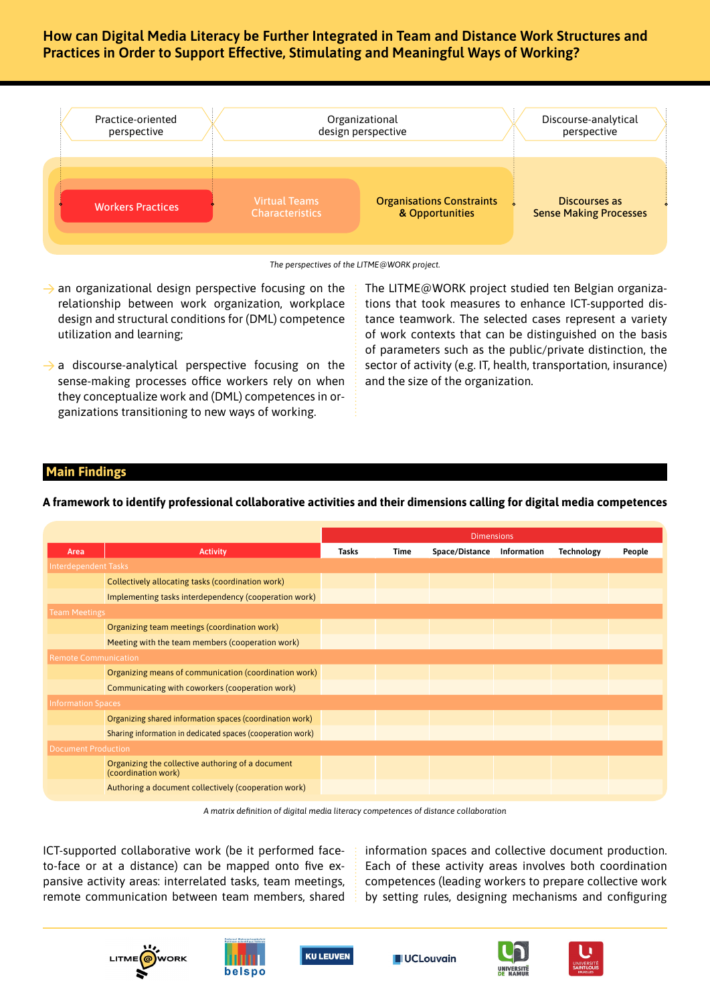

*The perspectives of the LITME@WORK project.*

- $\rightarrow$  an organizational design perspective focusing on the relationship between work organization, workplace design and structural conditions for (DML) competence utilization and learning;
- $\rightarrow$  a discourse-analytical perspective focusing on the sense-making processes office workers rely on when they conceptualize work and (DML) competences in organizations transitioning to new ways of working.

The LITME@WORK project studied ten Belgian organizations that took measures to enhance ICT-supported distance teamwork. The selected cases represent a variety of work contexts that can be distinguished on the basis of parameters such as the public/private distinction, the sector of activity (e.g. IT, health, transportation, insurance) and the size of the organization.

## **Main Findings**

**A framework to identify professional collaborative activities and their dimensions calling for digital media competences**

|                             |                                                                          | <b>Dimensions</b> |             |                |             |                   |        |
|-----------------------------|--------------------------------------------------------------------------|-------------------|-------------|----------------|-------------|-------------------|--------|
| Area                        | <b>Activity</b>                                                          | <b>Tasks</b>      | <b>Time</b> | Space/Distance | Information | <b>Technology</b> | People |
| <b>Interdependent Tasks</b> |                                                                          |                   |             |                |             |                   |        |
|                             | Collectively allocating tasks (coordination work)                        |                   |             |                |             |                   |        |
|                             | Implementing tasks interdependency (cooperation work)                    |                   |             |                |             |                   |        |
| <b>Team Meetings</b>        |                                                                          |                   |             |                |             |                   |        |
|                             | Organizing team meetings (coordination work)                             |                   |             |                |             |                   |        |
|                             | Meeting with the team members (cooperation work)                         |                   |             |                |             |                   |        |
| <b>Remote Communication</b> |                                                                          |                   |             |                |             |                   |        |
|                             | Organizing means of communication (coordination work)                    |                   |             |                |             |                   |        |
|                             | Communicating with coworkers (cooperation work)                          |                   |             |                |             |                   |        |
| <b>Information Spaces</b>   |                                                                          |                   |             |                |             |                   |        |
|                             | Organizing shared information spaces (coordination work)                 |                   |             |                |             |                   |        |
|                             | Sharing information in dedicated spaces (cooperation work)               |                   |             |                |             |                   |        |
| <b>Document Production</b>  |                                                                          |                   |             |                |             |                   |        |
|                             | Organizing the collective authoring of a document<br>(coordination work) |                   |             |                |             |                   |        |
|                             | Authoring a document collectively (cooperation work)                     |                   |             |                |             |                   |        |

*A matrix definition of digital media literacy competences of distance collaboration*

ICT-supported collaborative work (be it performed faceto-face or at a distance) can be mapped onto five expansive activity areas: interrelated tasks, team meetings, remote communication between team members, shared information spaces and collective document production. Each of these activity areas involves both coordination competences (leading workers to prepare collective work by setting rules, designing mechanisms and configuring









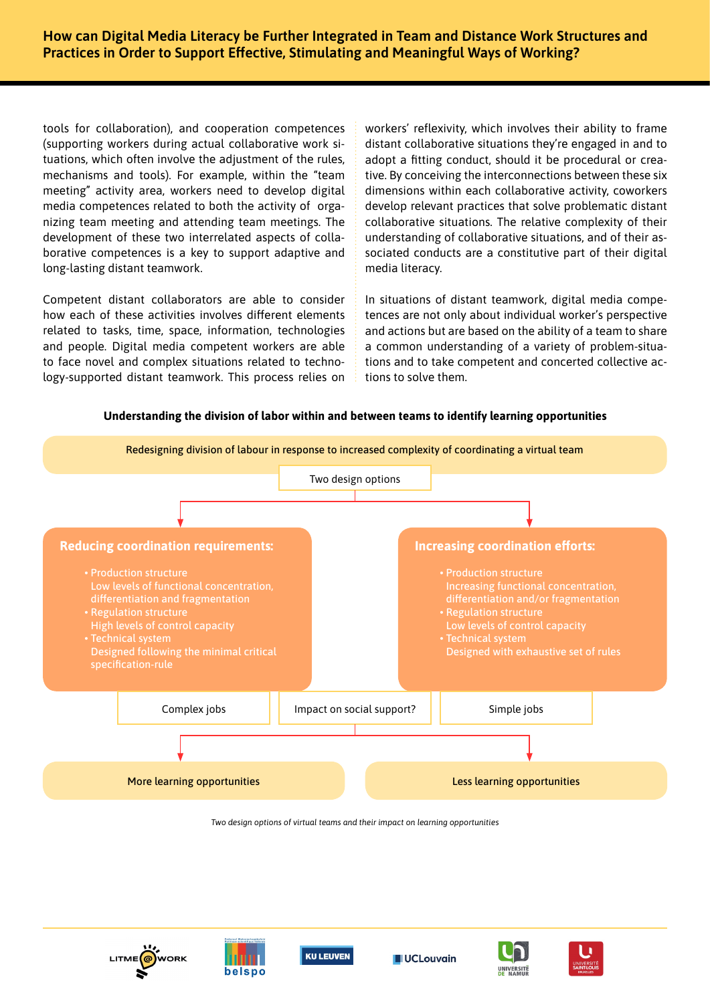tools for collaboration), and cooperation competences (supporting workers during actual collaborative work situations, which often involve the adjustment of the rules, mechanisms and tools). For example, within the "team meeting" activity area, workers need to develop digital media competences related to both the activity of organizing team meeting and attending team meetings. The development of these two interrelated aspects of collaborative competences is a key to support adaptive and long-lasting distant teamwork.

Competent distant collaborators are able to consider how each of these activities involves different elements related to tasks, time, space, information, technologies and people. Digital media competent workers are able to face novel and complex situations related to technology-supported distant teamwork. This process relies on workers' reflexivity, which involves their ability to frame distant collaborative situations they're engaged in and to adopt a fitting conduct, should it be procedural or creative. By conceiving the interconnections between these six dimensions within each collaborative activity, coworkers develop relevant practices that solve problematic distant collaborative situations. The relative complexity of their understanding of collaborative situations, and of their associated conducts are a constitutive part of their digital media literacy.

In situations of distant teamwork, digital media competences are not only about individual worker's perspective and actions but are based on the ability of a team to share a common understanding of a variety of problem-situations and to take competent and concerted collective actions to solve them.

#### **Understanding the division of labor within and between teams to identify learning opportunities**



*Two design options of virtual teams and their impact on learning opportunities*









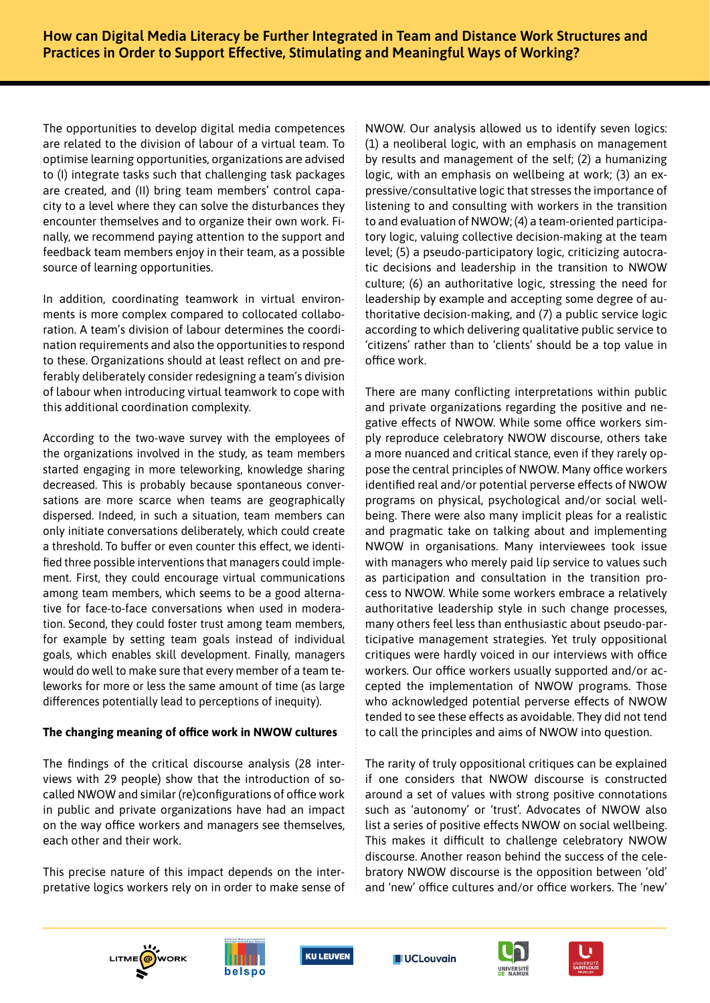The opportunities to develop digital media competences are related to the division of labour of a virtual team. To optimise learning opportunities, organizations are advised to (I) integrate tasks such that challenging task packages are created, and (II) bring team members' control capacity to a level where they can solve the disturbances they encounter themselves and to organize their own work. Finally, we recommend paying attention to the support and feedback team members enjoy in their team, as a possible source of learning opportunities.

In addition, coordinating teamwork in virtual environments is more complex compared to collocated collaboration. A team's division of labour determines the coordination requirements and also the opportunities to respond to these. Organizations should at least reflect on and preferably deliberately consider redesigning a team's division of labour when introducing virtual teamwork to cope with this additional coordination complexity.

According to the two-wave survey with the employees of the organizations involved in the study, as team members started engaging in more teleworking, knowledge sharing decreased. This is probably because spontaneous conversations are more scarce when teams are geographically dispersed. Indeed, in such a situation, team members can only initiate conversations deliberately, which could create a threshold. To buffer or even counter this effect, we identified three possible interventions that managers could implement. First, they could encourage virtual communications among team members, which seems to be a good alternative for face-to-face conversations when used in moderation. Second, they could foster trust among team members, for example by setting team goals instead of individual goals, which enables skill development. Finally, managers would do well to make sure that every member of a team teleworks for more or less the same amount of time (as large differences potentially lead to perceptions of inequity).

## **The changing meaning of office work in NWOW cultures**

The findings of the critical discourse analysis (28 interviews with 29 people) show that the introduction of socalled NWOW and similar (re)configurations of office work in public and private organizations have had an impact on the way office workers and managers see themselves, each other and their work.

This precise nature of this impact depends on the interpretative logics workers rely on in order to make sense of NWOW. Our analysis allowed us to identify seven logics: (1) a neoliberal logic, with an emphasis on management by results and management of the self; (2) a humanizing logic, with an emphasis on wellbeing at work; (3) an expressive/consultative logic that stresses the importance of listening to and consulting with workers in the transition to and evaluation of NWOW; (4) a team-oriented participatory logic, valuing collective decision-making at the team level; (5) a pseudo-participatory logic, criticizing autocratic decisions and leadership in the transition to NWOW culture; (6) an authoritative logic, stressing the need for leadership by example and accepting some degree of authoritative decision-making, and (7) a public service logic according to which delivering qualitative public service to 'citizens' rather than to 'clients' should be a top value in office work.

There are many conflicting interpretations within public and private organizations regarding the positive and negative effects of NWOW. While some office workers simply reproduce celebratory NWOW discourse, others take a more nuanced and critical stance, even if they rarely oppose the central principles of NWOW. Many office workers identified real and/or potential perverse effects of NWOW programs on physical, psychological and/or social wellbeing. There were also many implicit pleas for a realistic and pragmatic take on talking about and implementing NWOW in organisations. Many interviewees took issue with managers who merely paid lip service to values such as participation and consultation in the transition process to NWOW. While some workers embrace a relatively authoritative leadership style in such change processes, many others feel less than enthusiastic about pseudo-participative management strategies. Yet truly oppositional critiques were hardly voiced in our interviews with office workers. Our office workers usually supported and/or accepted the implementation of NWOW programs. Those who acknowledged potential perverse effects of NWOW tended to see these effects as avoidable. They did not tend to call the principles and aims of NWOW into question.

The rarity of truly oppositional critiques can be explained if one considers that NWOW discourse is constructed around a set of values with strong positive connotations such as 'autonomy' or 'trust'. Advocates of NWOW also list a series of positive effects NWOW on social wellbeing. This makes it difficult to challenge celebratory NWOW discourse. Another reason behind the success of the celebratory NWOW discourse is the opposition between 'old' and 'new' office cultures and/or office workers. The 'new'











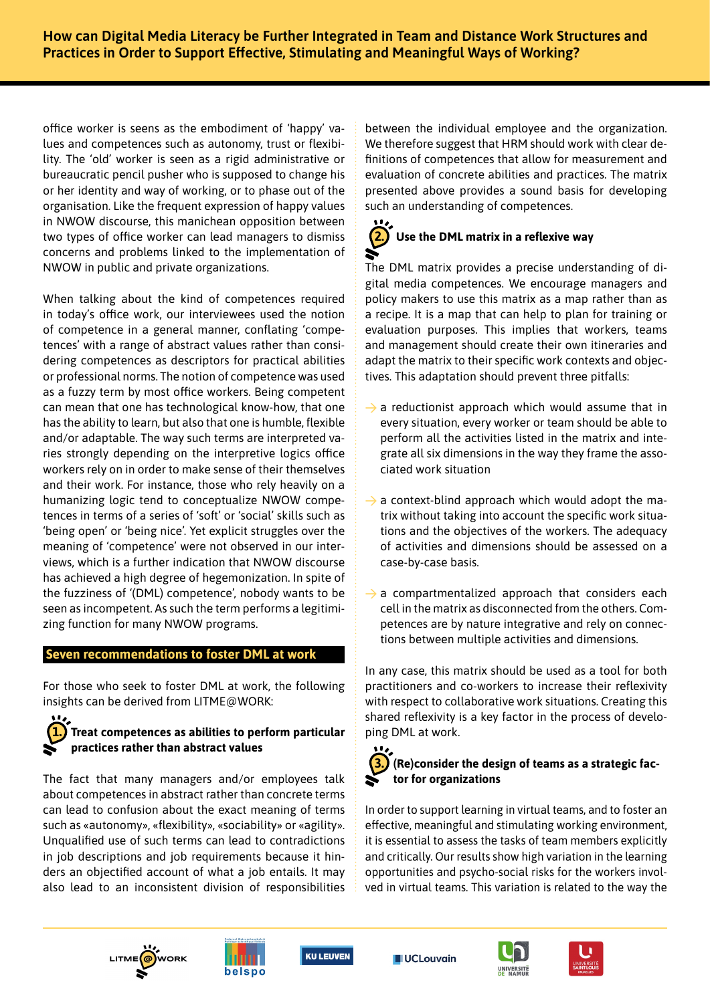office worker is seens as the embodiment of 'happy' values and competences such as autonomy, trust or flexibility. The 'old' worker is seen as a rigid administrative or bureaucratic pencil pusher who is supposed to change his or her identity and way of working, or to phase out of the organisation. Like the frequent expression of happy values in NWOW discourse, this manichean opposition between two types of office worker can lead managers to dismiss concerns and problems linked to the implementation of NWOW in public and private organizations.

When talking about the kind of competences required in today's office work, our interviewees used the notion of competence in a general manner, conflating 'competences' with a range of abstract values rather than considering competences as descriptors for practical abilities or professional norms. The notion of competence was used as a fuzzy term by most office workers. Being competent can mean that one has technological know-how, that one has the ability to learn, but also that one is humble, flexible and/or adaptable. The way such terms are interpreted varies strongly depending on the interpretive logics office workers rely on in order to make sense of their themselves and their work. For instance, those who rely heavily on a humanizing logic tend to conceptualize NWOW competences in terms of a series of 'soft' or 'social' skills such as 'being open' or 'being nice'. Yet explicit struggles over the meaning of 'competence' were not observed in our interviews, which is a further indication that NWOW discourse has achieved a high degree of hegemonization. In spite of the fuzziness of '(DML) competence', nobody wants to be seen as incompetent. As such the term performs a legitimizing function for many NWOW programs.

## **Seven recommendations to foster DML at work**

For those who seek to foster DML at work, the following insights can be derived from LITME@WORK:

# **1. Treat competences as abilities to perform particular practices rather than abstract values**

The fact that many managers and/or employees talk about competences in abstract rather than concrete terms can lead to confusion about the exact meaning of terms such as «autonomy», «flexibility», «sociability» or «agility». Unqualified use of such terms can lead to contradictions in job descriptions and job requirements because it hinders an objectified account of what a job entails. It may also lead to an inconsistent division of responsibilities

between the individual employee and the organization. We therefore suggest that HRM should work with clear definitions of competences that allow for measurement and evaluation of concrete abilities and practices. The matrix presented above provides a sound basis for developing such an understanding of competences.

# **2. Use the DML matrix in a reflexive way**

The DML matrix provides a precise understanding of digital media competences. We encourage managers and policy makers to use this matrix as a map rather than as a recipe. It is a map that can help to plan for training or evaluation purposes. This implies that workers, teams and management should create their own itineraries and adapt the matrix to their specific work contexts and objectives. This adaptation should prevent three pitfalls:

- $\rightarrow$  a reductionist approach which would assume that in every situation, every worker or team should be able to perform all the activities listed in the matrix and integrate all six dimensions in the way they frame the associated work situation
- $\rightarrow$  a context-blind approach which would adopt the matrix without taking into account the specific work situations and the objectives of the workers. The adequacy of activities and dimensions should be assessed on a case-by-case basis.
- $\rightarrow$  a compartmentalized approach that considers each cell in the matrix as disconnected from the others. Competences are by nature integrative and rely on connections between multiple activities and dimensions.

In any case, this matrix should be used as a tool for both practitioners and co-workers to increase their reflexivity with respect to collaborative work situations. Creating this shared reflexivity is a key factor in the process of developing DML at work.

# **3. (Re)consider the design of teams as a strategic factor for organizations**

In order to support learning in virtual teams, and to foster an effective, meaningful and stimulating working environment, it is essential to assess the tasks of team members explicitly and critically. Our results show high variation in the learning opportunities and psycho-social risks for the workers involved in virtual teams. This variation is related to the way the











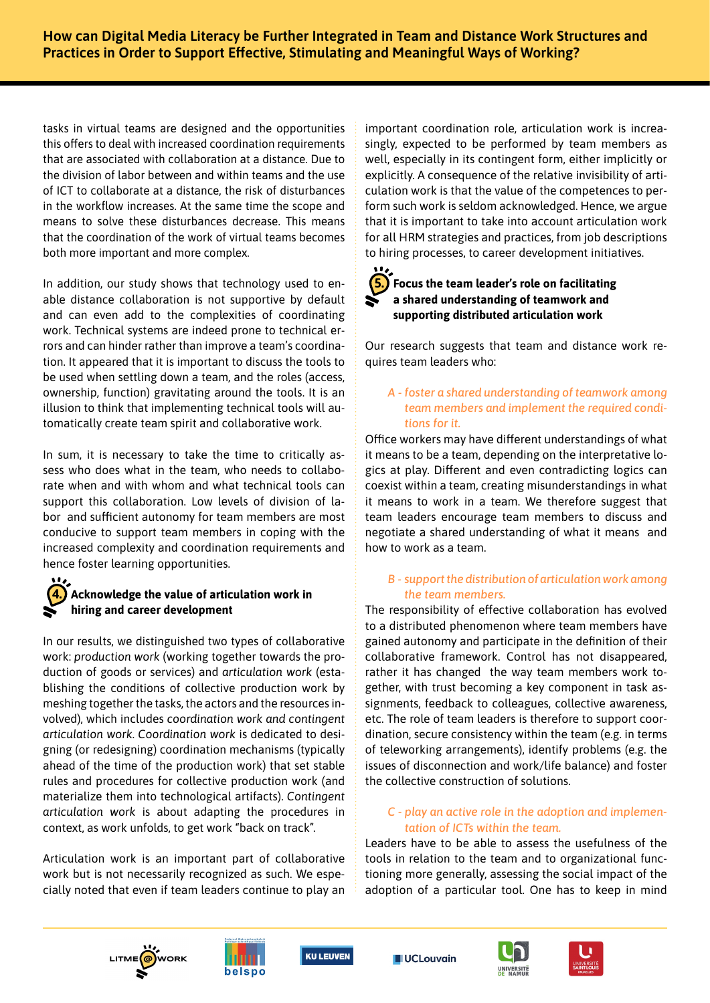tasks in virtual teams are designed and the opportunities this offers to deal with increased coordination requirements that are associated with collaboration at a distance. Due to the division of labor between and within teams and the use of ICT to collaborate at a distance, the risk of disturbances in the workflow increases. At the same time the scope and means to solve these disturbances decrease. This means that the coordination of the work of virtual teams becomes both more important and more complex.

In addition, our study shows that technology used to enable distance collaboration is not supportive by default and can even add to the complexities of coordinating work. Technical systems are indeed prone to technical errors and can hinder rather than improve a team's coordination. It appeared that it is important to discuss the tools to be used when settling down a team, and the roles (access, ownership, function) gravitating around the tools. It is an illusion to think that implementing technical tools will automatically create team spirit and collaborative work.

In sum, it is necessary to take the time to critically assess who does what in the team, who needs to collaborate when and with whom and what technical tools can support this collaboration. Low levels of division of labor and sufficient autonomy for team members are most conducive to support team members in coping with the increased complexity and coordination requirements and hence foster learning opportunities.

# **4. Acknowledge the value of articulation work in hiring and career development**

In our results, we distinguished two types of collaborative work: *production work* (working together towards the production of goods or services) and *articulation work* (establishing the conditions of collective production work by meshing together the tasks, the actors and the resources involved), which includes *coordination work and contingent articulation work. Coordination work* is dedicated to designing (or redesigning) coordination mechanisms (typically ahead of the time of the production work) that set stable rules and procedures for collective production work (and materialize them into technological artifacts). *Contingent articulation work* is about adapting the procedures in context, as work unfolds, to get work "back on track".

Articulation work is an important part of collaborative work but is not necessarily recognized as such. We especially noted that even if team leaders continue to play an important coordination role, articulation work is increasingly, expected to be performed by team members as well, especially in its contingent form, either implicitly or explicitly. A consequence of the relative invisibility of articulation work is that the value of the competences to perform such work is seldom acknowledged. Hence, we argue that it is important to take into account articulation work for all HRM strategies and practices, from job descriptions to hiring processes, to career development initiatives.

# **5. Focus the team leader's role on facilitating a shared understanding of teamwork and supporting distributed articulation work**

Our research suggests that team and distance work requires team leaders who:

## *A - foster a shared understanding of teamwork among team members and implement the required conditions for it.*

Office workers may have different understandings of what it means to be a team, depending on the interpretative logics at play. Different and even contradicting logics can coexist within a team, creating misunderstandings in what it means to work in a team. We therefore suggest that team leaders encourage team members to discuss and negotiate a shared understanding of what it means and how to work as a team.

## *B - support the distribution of articulation work among the team members.*

The responsibility of effective collaboration has evolved to a distributed phenomenon where team members have gained autonomy and participate in the definition of their collaborative framework. Control has not disappeared, rather it has changed the way team members work together, with trust becoming a key component in task assignments, feedback to colleagues, collective awareness, etc. The role of team leaders is therefore to support coordination, secure consistency within the team (e.g. in terms of teleworking arrangements), identify problems (e.g. the issues of disconnection and work/life balance) and foster the collective construction of solutions.

## *C - play an active role in the adoption and implementation of ICTs within the team.*

Leaders have to be able to assess the usefulness of the tools in relation to the team and to organizational functioning more generally, assessing the social impact of the adoption of a particular tool. One has to keep in mind











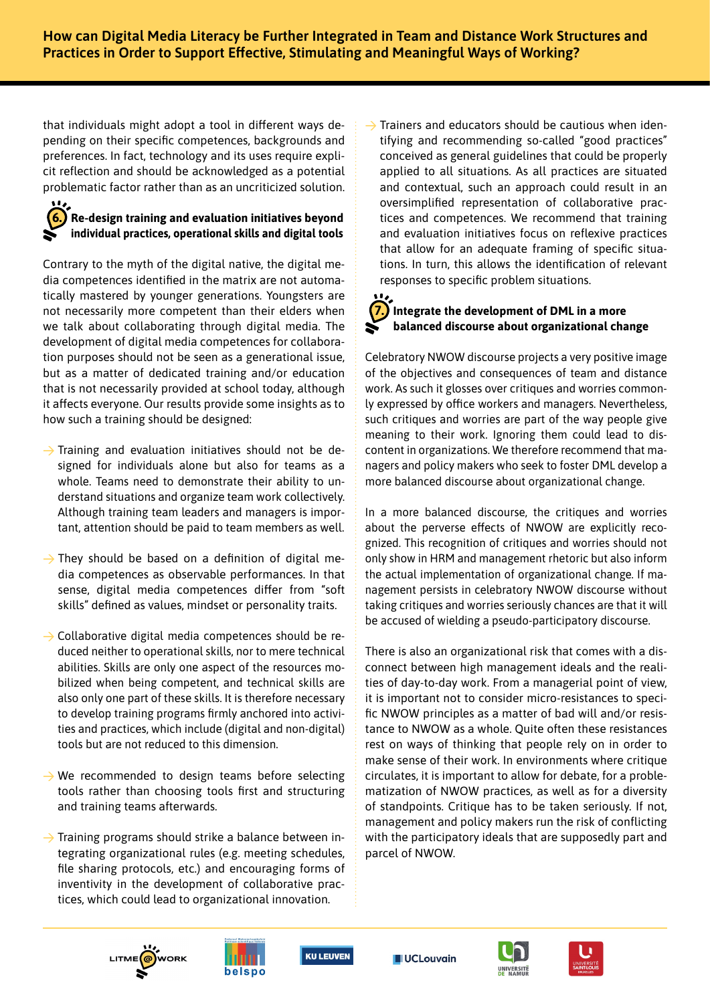that individuals might adopt a tool in different ways depending on their specific competences, backgrounds and preferences. In fact, technology and its uses require explicit reflection and should be acknowledged as a potential problematic factor rather than as an uncriticized solution.

# **6. Re-design training and evaluation initiatives beyond individual practices, operational skills and digital tools**

Contrary to the myth of the digital native, the digital media competences identified in the matrix are not automatically mastered by younger generations. Youngsters are not necessarily more competent than their elders when we talk about collaborating through digital media. The development of digital media competences for collaboration purposes should not be seen as a generational issue, but as a matter of dedicated training and/or education that is not necessarily provided at school today, although it affects everyone. Our results provide some insights as to how such a training should be designed:

- $\rightarrow$  Training and evaluation initiatives should not be designed for individuals alone but also for teams as a whole. Teams need to demonstrate their ability to understand situations and organize team work collectively. Although training team leaders and managers is important, attention should be paid to team members as well.
- $\rightarrow$  They should be based on a definition of digital media competences as observable performances. In that sense, digital media competences differ from "soft skills" defined as values, mindset or personality traits.
- $\rightarrow$  Collaborative digital media competences should be reduced neither to operational skills, nor to mere technical abilities. Skills are only one aspect of the resources mobilized when being competent, and technical skills are also only one part of these skills. It is therefore necessary to develop training programs firmly anchored into activities and practices, which include (digital and non-digital) tools but are not reduced to this dimension.
- $\rightarrow$  We recommended to design teams before selecting tools rather than choosing tools first and structuring and training teams afterwards.
- $\rightarrow$  Training programs should strike a balance between integrating organizational rules (e.g. meeting schedules, file sharing protocols, etc.) and encouraging forms of inventivity in the development of collaborative practices, which could lead to organizational innovation.

 $\rightarrow$  Trainers and educators should be cautious when identifying and recommending so-called "good practices" conceived as general guidelines that could be properly applied to all situations. As all practices are situated and contextual, such an approach could result in an oversimplified representation of collaborative practices and competences. We recommend that training and evaluation initiatives focus on reflexive practices that allow for an adequate framing of specific situations. In turn, this allows the identification of relevant responses to specific problem situations.

# **7. Integrate the development of DML in a more balanced discourse about organizational change**

Celebratory NWOW discourse projects a very positive image of the objectives and consequences of team and distance work. As such it glosses over critiques and worries commonly expressed by office workers and managers. Nevertheless, such critiques and worries are part of the way people give meaning to their work. Ignoring them could lead to discontent in organizations. We therefore recommend that managers and policy makers who seek to foster DML develop a more balanced discourse about organizational change.

In a more balanced discourse, the critiques and worries about the perverse effects of NWOW are explicitly recognized. This recognition of critiques and worries should not only show in HRM and management rhetoric but also inform the actual implementation of organizational change. If management persists in celebratory NWOW discourse without taking critiques and worries seriously chances are that it will be accused of wielding a pseudo-participatory discourse.

There is also an organizational risk that comes with a disconnect between high management ideals and the realities of day-to-day work. From a managerial point of view, it is important not to consider micro-resistances to specific NWOW principles as a matter of bad will and/or resistance to NWOW as a whole. Quite often these resistances rest on ways of thinking that people rely on in order to make sense of their work. In environments where critique circulates, it is important to allow for debate, for a problematization of NWOW practices, as well as for a diversity of standpoints. Critique has to be taken seriously. If not, management and policy makers run the risk of conflicting with the participatory ideals that are supposedly part and parcel of NWOW.